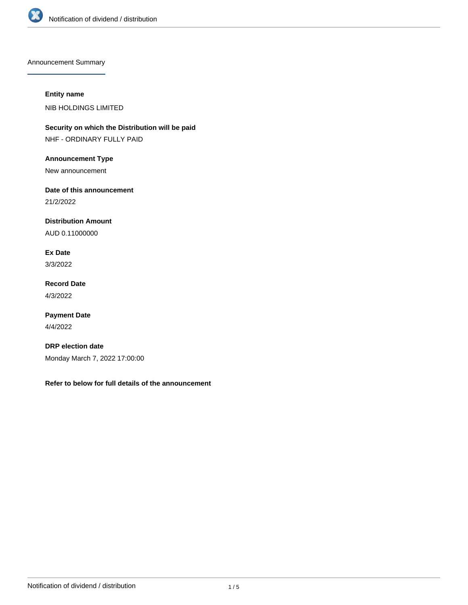

Announcement Summary

# **Entity name**

NIB HOLDINGS LIMITED

**Security on which the Distribution will be paid** NHF - ORDINARY FULLY PAID

**Announcement Type**

New announcement

**Date of this announcement**

21/2/2022

**Distribution Amount**

AUD 0.11000000

**Ex Date** 3/3/2022

**Record Date** 4/3/2022

**Payment Date** 4/4/2022

**DRP election date** Monday March 7, 2022 17:00:00

**Refer to below for full details of the announcement**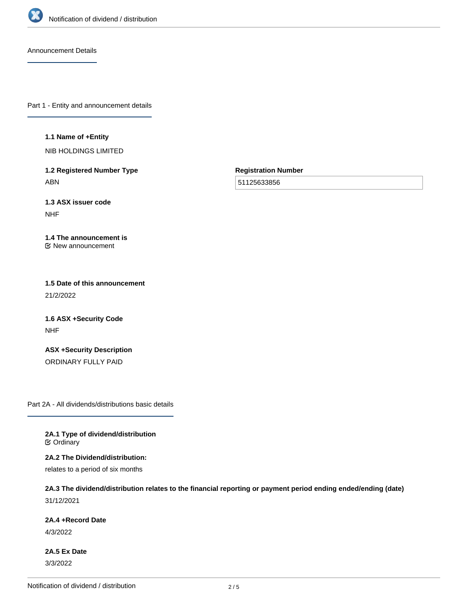

Announcement Details

Part 1 - Entity and announcement details

#### **1.1 Name of +Entity**

NIB HOLDINGS LIMITED

**1.2 Registered Number Type** ABN

**Registration Number**

51125633856

**1.3 ASX issuer code** NHF

#### **1.4 The announcement is** New announcement

**1.5 Date of this announcement** 21/2/2022

**1.6 ASX +Security Code** NHF

**ASX +Security Description** ORDINARY FULLY PAID

Part 2A - All dividends/distributions basic details

**2A.1 Type of dividend/distribution C** Ordinary

**2A.2 The Dividend/distribution:**

relates to a period of six months

# **2A.3 The dividend/distribution relates to the financial reporting or payment period ending ended/ending (date)** 31/12/2021

**2A.4 +Record Date**

4/3/2022

**2A.5 Ex Date** 3/3/2022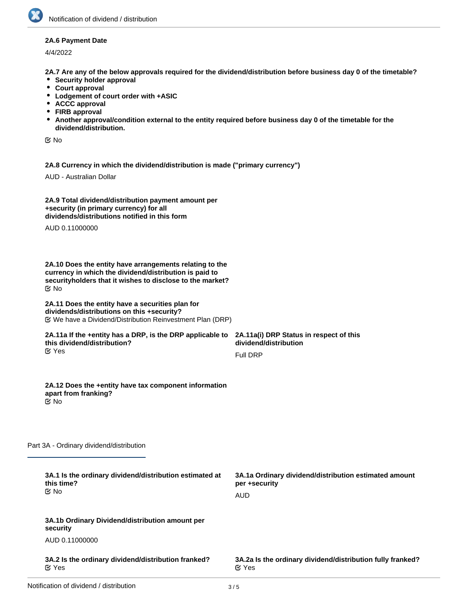## **2A.6 Payment Date**

4/4/2022

**2A.7 Are any of the below approvals required for the dividend/distribution before business day 0 of the timetable?**

- **•** Security holder approval
- **Court approval**
- **Lodgement of court order with +ASIC**
- **ACCC approval**
- **FIRB approval**
- **Another approval/condition external to the entity required before business day 0 of the timetable for the dividend/distribution.**

No

**2A.8 Currency in which the dividend/distribution is made ("primary currency")**

AUD - Australian Dollar

| 2A.9 Total dividend/distribution payment amount per |  |
|-----------------------------------------------------|--|
| +security (in primary currency) for all             |  |
| dividends/distributions notified in this form       |  |

AUD 0.11000000

**2A.10 Does the entity have arrangements relating to the currency in which the dividend/distribution is paid to securityholders that it wishes to disclose to the market?** No

#### **2A.11 Does the entity have a securities plan for dividends/distributions on this +security?** We have a Dividend/Distribution Reinvestment Plan (DRP)

#### **2A.11a If the +entity has a DRP, is the DRP applicable to this dividend/distribution?** Yes

**2A.11a(i) DRP Status in respect of this dividend/distribution** Full DRP

#### **2A.12 Does the +entity have tax component information apart from franking?** No

Part 3A - Ordinary dividend/distribution

| 3A.1 Is the ordinary dividend/distribution estimated at<br>this time?<br>় No | 3A.1a Ordinary dividend/distribution estimated amount<br>per +security<br>AUD |
|-------------------------------------------------------------------------------|-------------------------------------------------------------------------------|
| 3A.1b Ordinary Dividend/distribution amount per<br>security                   |                                                                               |
| AUD 0.11000000                                                                |                                                                               |
| 3A.2 Is the ordinary dividend/distribution franked?<br>$\alpha$ Yes           | 3A.2a Is the ordinary dividend/distribution fully franked?<br>$\alpha$ Yes    |
|                                                                               |                                                                               |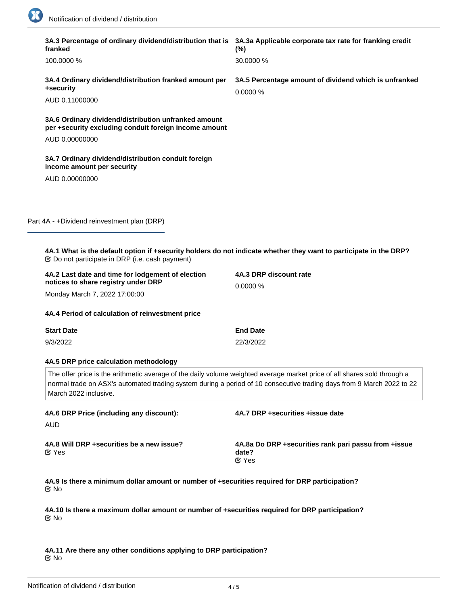18

 $\sim$ 

|                                                                                                                                                                                                                                                                            | 3A.3 Percentage of ordinary dividend/distribution that is 3A.3a Applicable corporate tax rate for franking credit<br>franked                                                 | $(\% )$                                                                       |  |
|----------------------------------------------------------------------------------------------------------------------------------------------------------------------------------------------------------------------------------------------------------------------------|------------------------------------------------------------------------------------------------------------------------------------------------------------------------------|-------------------------------------------------------------------------------|--|
|                                                                                                                                                                                                                                                                            | 100.0000 %                                                                                                                                                                   | 30.0000 %                                                                     |  |
|                                                                                                                                                                                                                                                                            | 3A.4 Ordinary dividend/distribution franked amount per<br>+security                                                                                                          | 3A.5 Percentage amount of dividend which is unfranked<br>0.0000 %             |  |
|                                                                                                                                                                                                                                                                            | AUD 0.11000000                                                                                                                                                               |                                                                               |  |
|                                                                                                                                                                                                                                                                            | 3A.6 Ordinary dividend/distribution unfranked amount<br>per +security excluding conduit foreign income amount                                                                |                                                                               |  |
|                                                                                                                                                                                                                                                                            | AUD 0.00000000                                                                                                                                                               |                                                                               |  |
|                                                                                                                                                                                                                                                                            | 3A.7 Ordinary dividend/distribution conduit foreign<br>income amount per security                                                                                            |                                                                               |  |
|                                                                                                                                                                                                                                                                            | AUD 0.00000000                                                                                                                                                               |                                                                               |  |
|                                                                                                                                                                                                                                                                            |                                                                                                                                                                              |                                                                               |  |
|                                                                                                                                                                                                                                                                            |                                                                                                                                                                              |                                                                               |  |
|                                                                                                                                                                                                                                                                            | Part 4A - +Dividend reinvestment plan (DRP)                                                                                                                                  |                                                                               |  |
|                                                                                                                                                                                                                                                                            |                                                                                                                                                                              |                                                                               |  |
|                                                                                                                                                                                                                                                                            | 4A.1 What is the default option if +security holders do not indicate whether they want to participate in the DRP?<br><b> ©</b> Do not participate in DRP (i.e. cash payment) |                                                                               |  |
|                                                                                                                                                                                                                                                                            | 4A.2 Last date and time for lodgement of election<br>notices to share registry under DRP                                                                                     | 4A.3 DRP discount rate<br>0.0000 %                                            |  |
|                                                                                                                                                                                                                                                                            | Monday March 7, 2022 17:00:00                                                                                                                                                |                                                                               |  |
|                                                                                                                                                                                                                                                                            | 4A.4 Period of calculation of reinvestment price                                                                                                                             |                                                                               |  |
|                                                                                                                                                                                                                                                                            | <b>Start Date</b>                                                                                                                                                            | <b>End Date</b>                                                               |  |
|                                                                                                                                                                                                                                                                            | 9/3/2022                                                                                                                                                                     | 22/3/2022                                                                     |  |
|                                                                                                                                                                                                                                                                            | 4A.5 DRP price calculation methodology                                                                                                                                       |                                                                               |  |
| The offer price is the arithmetic average of the daily volume weighted average market price of all shares sold through a<br>normal trade on ASX's automated trading system during a period of 10 consecutive trading days from 9 March 2022 to 22<br>March 2022 inclusive. |                                                                                                                                                                              |                                                                               |  |
|                                                                                                                                                                                                                                                                            | 4A.6 DRP Price (including any discount):<br>AUD                                                                                                                              | 4A.7 DRP +securities +issue date                                              |  |
|                                                                                                                                                                                                                                                                            | 4A.8 Will DRP + securities be a new issue?<br>$\alpha$ Yes                                                                                                                   | 4A.8a Do DRP +securities rank pari passu from +issue<br>date?<br><b>⊘</b> Yes |  |
|                                                                                                                                                                                                                                                                            | 4A.9 Is there a minimum dollar amount or number of +securities required for DRP participation?<br>ত No                                                                       |                                                                               |  |
|                                                                                                                                                                                                                                                                            | 4A.10 Is there a maximum dollar amount or number of +securities required for DRP participation?<br>ত No                                                                      |                                                                               |  |
|                                                                                                                                                                                                                                                                            |                                                                                                                                                                              |                                                                               |  |

**4A.11 Are there any other conditions applying to DRP participation?** No